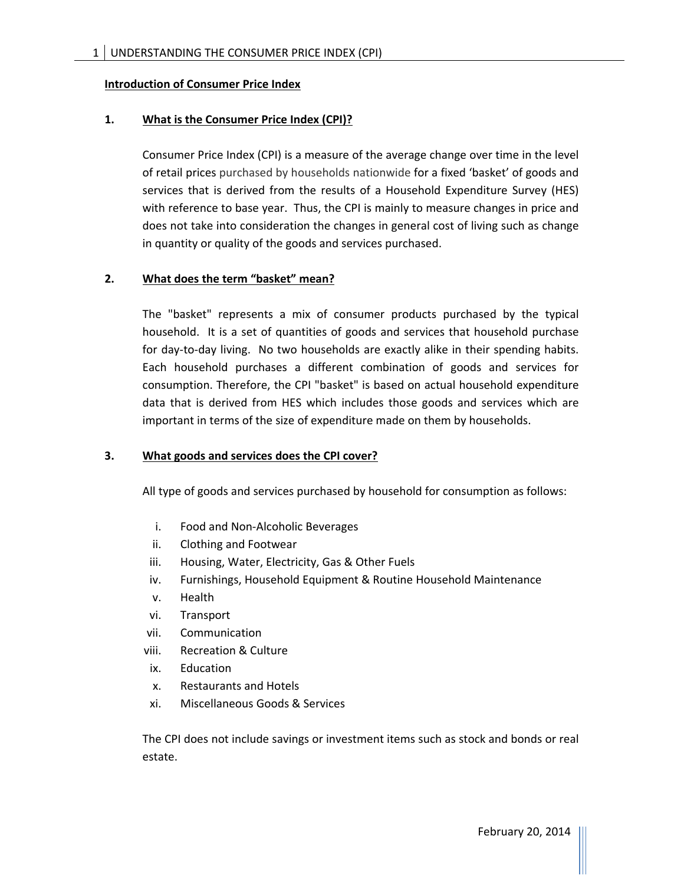### **Introduction of Consumer Price Index**

# **1. What is the Consumer Price Index (CPI)?**

Consumer Price Index (CPI) is a measure of the average change over time in the level of retail prices purchased by households nationwide for a fixed 'basket' of goods and services that is derived from the results of a Household Expenditure Survey (HES) with reference to base year. Thus, the CPI is mainly to measure changes in price and does not take into consideration the changes in general cost of living such as change in quantity or quality of the goods and services purchased.

### **2. What does the term "basket" mean?**

The "basket" represents a mix of consumer products purchased by the typical household. It is a set of quantities of goods and services that household purchase for day‐to‐day living. No two households are exactly alike in their spending habits. Each household purchases a different combination of goods and services for consumption. Therefore, the CPI "basket" is based on actual household expenditure data that is derived from HES which includes those goods and services which are important in terms of the size of expenditure made on them by households.

### **3. What goods and services does the CPI cover?**

All type of goods and services purchased by household for consumption as follows:

- i. Food and Non‐Alcoholic Beverages
- ii. Clothing and Footwear
- iii. Housing, Water, Electricity, Gas & Other Fuels
- iv. Furnishings, Household Equipment & Routine Household Maintenance
- v. Health
- vi. Transport
- vii. Communication
- viii. Recreation & Culture
- ix. Education
- x. Restaurants and Hotels
- xi. Miscellaneous Goods & Services

The CPI does not include savings or investment items such as stock and bonds or real estate.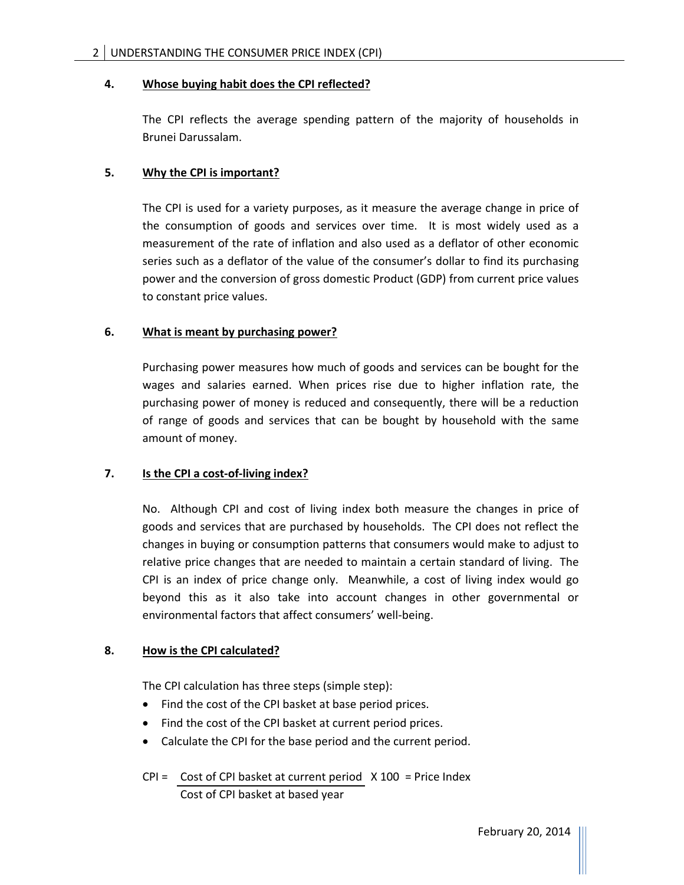### **4. Whose buying habit does the CPI reflected?**

The CPI reflects the average spending pattern of the majority of households in Brunei Darussalam.

# **5. Why the CPI is important?**

The CPI is used for a variety purposes, as it measure the average change in price of the consumption of goods and services over time. It is most widely used as a measurement of the rate of inflation and also used as a deflator of other economic series such as a deflator of the value of the consumer's dollar to find its purchasing power and the conversion of gross domestic Product (GDP) from current price values to constant price values.

## **6. What is meant by purchasing power?**

Purchasing power measures how much of goods and services can be bought for the wages and salaries earned. When prices rise due to higher inflation rate, the purchasing power of money is reduced and consequently, there will be a reduction of range of goods and services that can be bought by household with the same amount of money.

# **7. Is the CPI a cost‐of‐living index?**

No. Although CPI and cost of living index both measure the changes in price of goods and services that are purchased by households. The CPI does not reflect the changes in buying or consumption patterns that consumers would make to adjust to relative price changes that are needed to maintain a certain standard of living. The CPI is an index of price change only. Meanwhile, a cost of living index would go beyond this as it also take into account changes in other governmental or environmental factors that affect consumers' well‐being.

### **8. How is the CPI calculated?**

The CPI calculation has three steps (simple step):

- Find the cost of the CPI basket at base period prices.
- Find the cost of the CPI basket at current period prices.
- Calculate the CPI for the base period and the current period.
- $CPI =$  Cost of CPI basket at current period  $X$  100 = Price Index Cost of CPI basket at based year